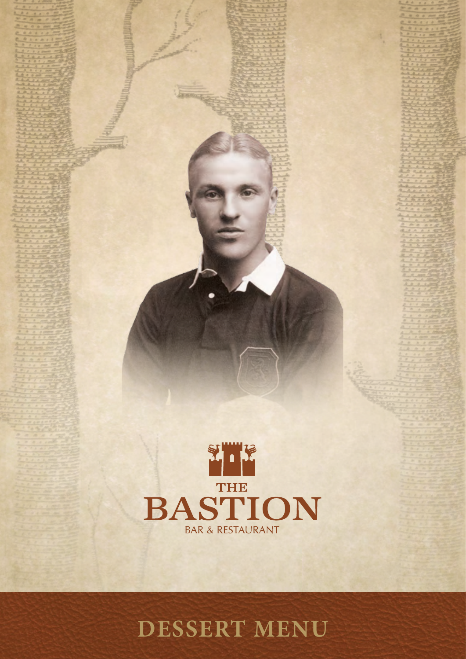

**DESSERT MENU**